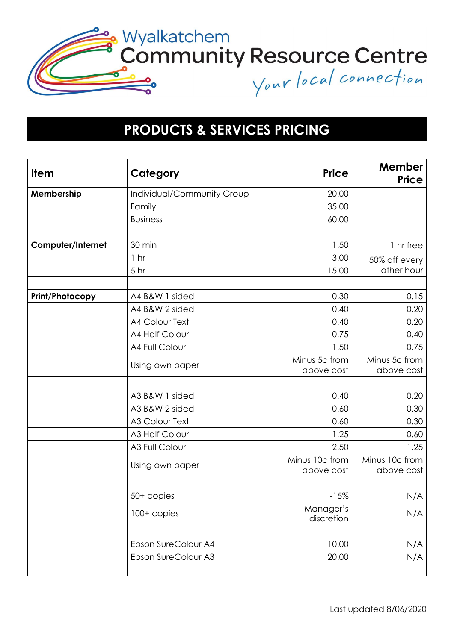

## **PRODUCTS & SERVICES PRICING**

| <b>Item</b>            | Category                   | <b>Price</b>                 | Member<br>Price              |
|------------------------|----------------------------|------------------------------|------------------------------|
| Membership             | Individual/Community Group | 20.00                        |                              |
|                        | Family                     | 35.00                        |                              |
|                        | <b>Business</b>            | 60.00                        |                              |
|                        |                            |                              |                              |
| Computer/Internet      | 30 min                     | 1.50                         | 1 hr free                    |
|                        | 1 <sub>hr</sub>            | 3.00                         | 50% off every                |
|                        | 5 <sub>hr</sub>            | 15.00                        | other hour                   |
|                        |                            |                              |                              |
| <b>Print/Photocopy</b> | A4 B&W 1 sided             | 0.30                         | 0.15                         |
|                        | A4 B&W 2 sided             | 0.40                         | 0.20                         |
|                        | <b>A4 Colour Text</b>      | 0.40                         | 0.20                         |
|                        | <b>A4 Half Colour</b>      | 0.75                         | 0.40                         |
|                        | A4 Full Colour             | 1.50                         | 0.75                         |
|                        | Using own paper            | Minus 5c from<br>above cost  | Minus 5c from<br>above cost  |
|                        |                            |                              |                              |
|                        | A3 B&W 1 sided             | 0.40                         | 0.20                         |
|                        | A3 B&W 2 sided             | 0.60                         | 0.30                         |
|                        | <b>A3 Colour Text</b>      | 0.60                         | 0.30                         |
|                        | A3 Half Colour             | 1.25                         | 0.60                         |
|                        | A3 Full Colour             | 2.50                         | 1.25                         |
|                        | Using own paper            | Minus 10c from<br>above cost | Minus 10c from<br>above cost |
|                        | $50+$ copies               | $-15%$                       | N/A                          |
|                        | 100+ copies                | Manager's<br>discretion      | N/A                          |
|                        | Epson SureColour A4        | 10.00                        | N/A                          |
|                        | Epson SureColour A3        | 20.00                        | N/A                          |
|                        |                            |                              |                              |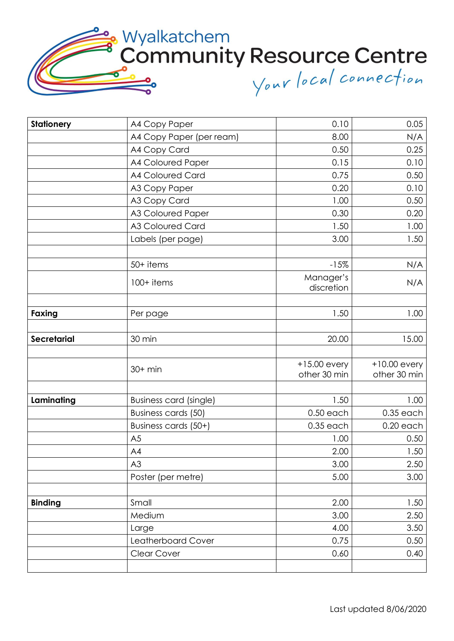Wyalkatchem<br>Community Resource Centre Your local connection

| <b>Stationery</b>  | A4 Copy Paper            | 0.10                           | 0.05                           |
|--------------------|--------------------------|--------------------------------|--------------------------------|
|                    | A4 Copy Paper (per ream) | 8.00                           | N/A                            |
|                    | A4 Copy Card             | 0.50                           | 0.25                           |
|                    | A4 Coloured Paper        | 0.15                           | 0.10                           |
|                    | A4 Coloured Card         | 0.75                           | 0.50                           |
|                    | A3 Copy Paper            | 0.20                           | 0.10                           |
|                    | A3 Copy Card             | 1.00                           | 0.50                           |
|                    | A3 Coloured Paper        | 0.30                           | 0.20                           |
|                    | A3 Coloured Card         | 1.50                           | 1.00                           |
|                    | Labels (per page)        | 3.00                           | 1.50                           |
|                    | 50+ items                | $-15%$                         | N/A                            |
|                    | 100+ items               | Manager's<br>discretion        | N/A                            |
| Faxing             | Per page                 | 1.50                           | 1.00                           |
|                    |                          |                                |                                |
| <b>Secretarial</b> | 30 min                   | 20.00                          | 15.00                          |
|                    | $30+$ min                | $+15.00$ every<br>other 30 min | $+10.00$ every<br>other 30 min |
| Laminating         | Business card (single)   | 1.50                           | 1.00                           |
|                    | Business cards (50)      | $0.50$ each                    | $0.35$ each                    |
|                    | Business cards (50+)     | $0.35$ each                    | $0.20$ each                    |
|                    | A <sub>5</sub>           | 1.00                           | 0.50                           |
|                    | A4                       | 2.00                           | 1.50                           |
|                    | A3                       | 3.00                           | 2.50                           |
|                    | Poster (per metre)       | 5.00                           | 3.00                           |
| <b>Binding</b>     | Small                    | 2.00                           | 1.50                           |
|                    | Medium                   | 3.00                           | 2.50                           |
|                    | Large                    | 4.00                           | 3.50                           |
|                    | Leatherboard Cover       | 0.75                           | 0.50                           |
|                    | <b>Clear Cover</b>       | 0.60                           | 0.40                           |
|                    |                          |                                |                                |